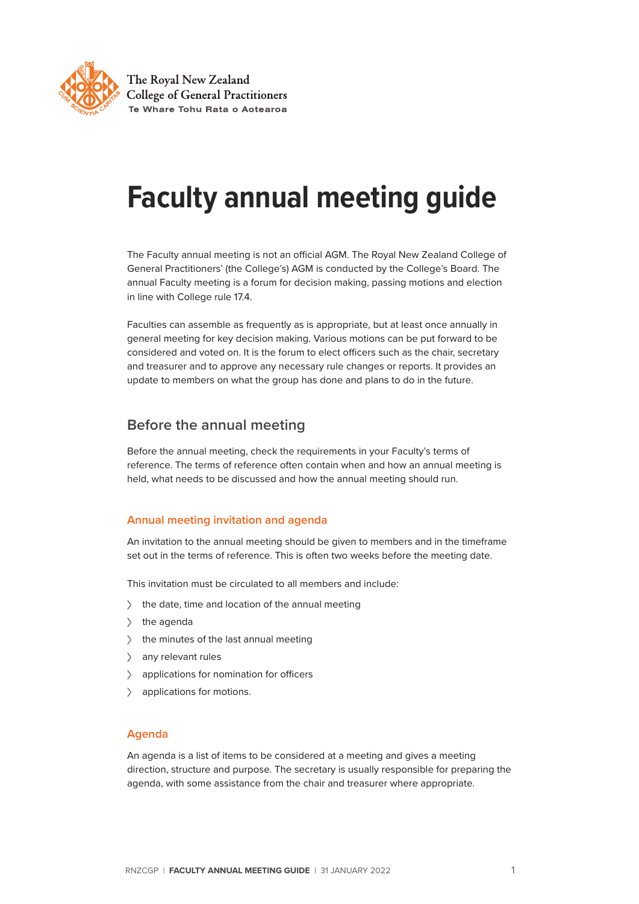

The Royal New Zealand **College of General Practitioners** Te Whare Tohu Rata o Aotearoa

# **Faculty annual meeting guide**

The Faculty annual meeting is not an official AGM. The Royal New Zealand College of General Practitioners' (the College's) AGM is conducted by the College's Board. The annual Faculty meeting is a forum for decision making, passing motions and election in line with College rule 17.4.

Faculties can assemble as frequently as is appropriate, but at least once annually in general meeting for key decision making. Various motions can be put forward to be considered and voted on. It is the forum to elect officers such as the chair, secretary and treasurer and to approve any necessary rule changes or reports. It provides an update to members on what the group has done and plans to do in the future.

# **Before the annual meeting**

Before the annual meeting, check the requirements in your Faculty's terms of reference. The terms of reference often contain when and how an annual meeting is held, what needs to be discussed and how the annual meeting should run.

## **Annual meeting invitation and agenda**

An invitation to the annual meeting should be given to members and in the timeframe set out in the terms of reference. This is often two weeks before the meeting date.

This invitation must be circulated to all members and include:

- $\angle$  the date, time and location of the annual meeting
- $\angle$  the agenda
- <sup>&</sup>gt; the minutes of the last annual meeting
- > any relevant rules
- applications for nomination for officers
- > applications for motions.

### **Agenda**

An agenda is a list of items to be considered at a meeting and gives a meeting direction, structure and purpose. The secretary is usually responsible for preparing the agenda, with some assistance from the chair and treasurer where appropriate.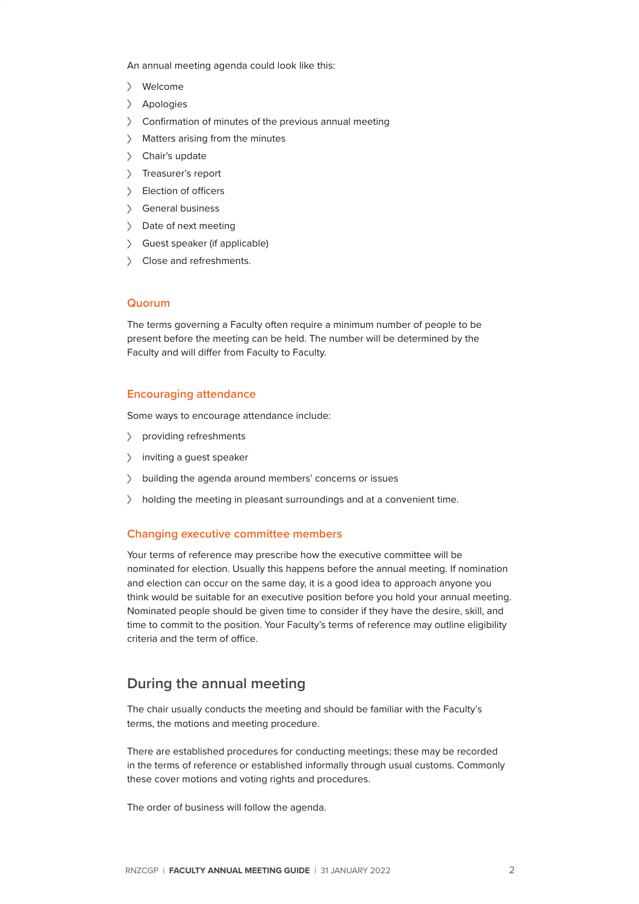An annual meeting agenda could look like this:

- <sup>&</sup>gt; Welcome
- <sup>&</sup>gt; Apologies
- <sup>&</sup>gt; Confirmation of minutes of the previous annual meeting
- > Matters arising from the minutes
- > Chair's update
- > Treasurer's report
- > Election of officers
- <sup>&</sup>gt; General business
- > Date of next meeting
- <sup>&</sup>gt; Guest speaker (if applicable)
- > Close and refreshments.

#### **Quorum**

The terms governing a Faculty often require a minimum number of people to be present before the meeting can be held. The number will be determined by the Faculty and will differ from Faculty to Faculty.

#### **Encouraging attendance**

Some ways to encourage attendance include:

- <sup>&</sup>gt; providing refreshments
- > inviting a guest speaker
- <sup>&</sup>gt; building the agenda around members' concerns or issues
- > holding the meeting in pleasant surroundings and at a convenient time.

#### **Changing executive committee members**

Your terms of reference may prescribe how the executive committee will be nominated for election. Usually this happens before the annual meeting. If nomination and election can occur on the same day, it is a good idea to approach anyone you think would be suitable for an executive position before you hold your annual meeting. Nominated people should be given time to consider if they have the desire, skill, and time to commit to the position. Your Faculty's terms of reference may outline eligibility criteria and the term of office.

# **During the annual meeting**

The chair usually conducts the meeting and should be familiar with the Faculty's terms, the motions and meeting procedure.

There are established procedures for conducting meetings; these may be recorded in the terms of reference or established informally through usual customs. Commonly these cover motions and voting rights and procedures.

The order of business will follow the agenda.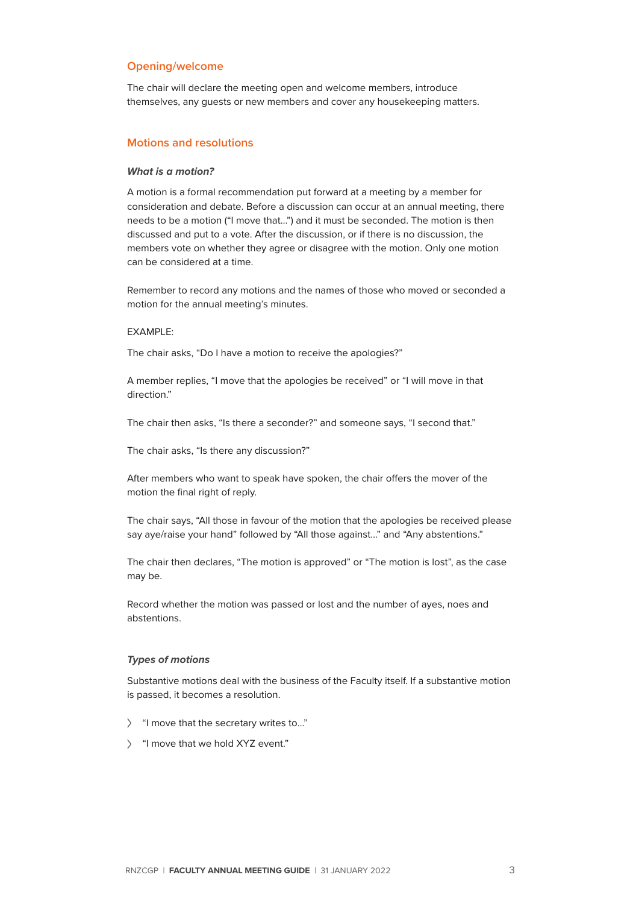#### **Opening/welcome**

The chair will declare the meeting open and welcome members, introduce themselves, any guests or new members and cover any housekeeping matters.

#### **Motions and resolutions**

#### *What is a motion?*

A motion is a formal recommendation put forward at a meeting by a member for consideration and debate. Before a discussion can occur at an annual meeting, there needs to be a motion ("I move that…") and it must be seconded. The motion is then discussed and put to a vote. After the discussion, or if there is no discussion, the members vote on whether they agree or disagree with the motion. Only one motion can be considered at a time.

Remember to record any motions and the names of those who moved or seconded a motion for the annual meeting's minutes.

#### EXAMPLE:

The chair asks, "Do I have a motion to receive the apologies?"

A member replies, "I move that the apologies be received" or "I will move in that direction."

The chair then asks, "Is there a seconder?" and someone says, "I second that."

The chair asks, "Is there any discussion?"

After members who want to speak have spoken, the chair offers the mover of the motion the final right of reply.

The chair says, "All those in favour of the motion that the apologies be received please say aye/raise your hand" followed by "All those against..." and "Any abstentions."

The chair then declares, "The motion is approved" or "The motion is lost", as the case may be.

Record whether the motion was passed or lost and the number of ayes, noes and abstentions.

#### *Types of motions*

Substantive motions deal with the business of the Faculty itself. If a substantive motion is passed, it becomes a resolution.

- > "I move that the secretary writes to..."
- > "I move that we hold XYZ event."